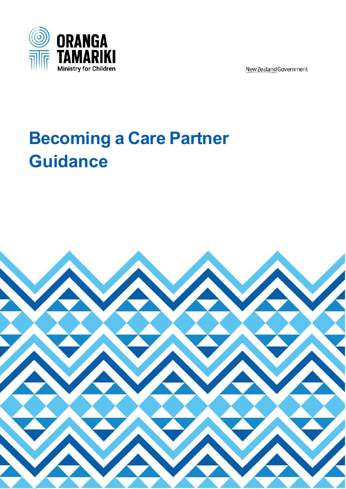

New Zealand Government

# <span id="page-0-0"></span>**Becoming a Care Partner Guidance**

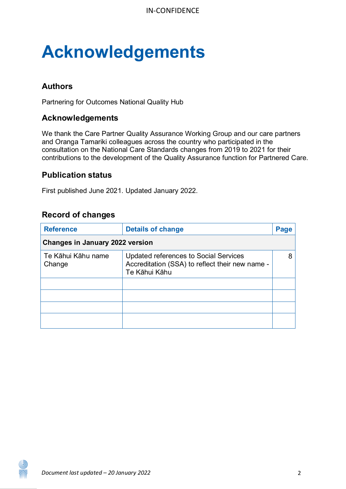# **Acknowledgements**

#### **Authors**

Partnering for Outcomes National Quality Hub

#### **Acknowledgements**

We thank the Care Partner Quality Assurance Working Group and our care partners and Oranga Tamariki colleagues across the country who participated in the consultation on the National Care Standards changes from 2019 to 2021 for their contributions to the development of the Quality Assurance function for Partnered Care.

#### **Publication status**

First published June 2021. Updated January 2022.

#### **Record of changes**

| <b>Reference</b>                       | <b>Details of change</b>                                                                                  | Page |  |
|----------------------------------------|-----------------------------------------------------------------------------------------------------------|------|--|
| <b>Changes in January 2022 version</b> |                                                                                                           |      |  |
| Te Kāhui Kāhu name<br>Change           | Updated references to Social Services<br>Accreditation (SSA) to reflect their new name -<br>Te Kāhui Kāhu | 8    |  |
|                                        |                                                                                                           |      |  |
|                                        |                                                                                                           |      |  |
|                                        |                                                                                                           |      |  |
|                                        |                                                                                                           |      |  |

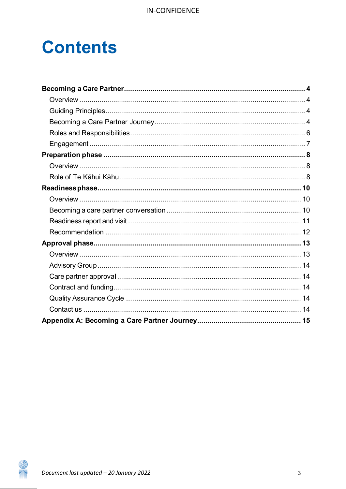## **Contents**

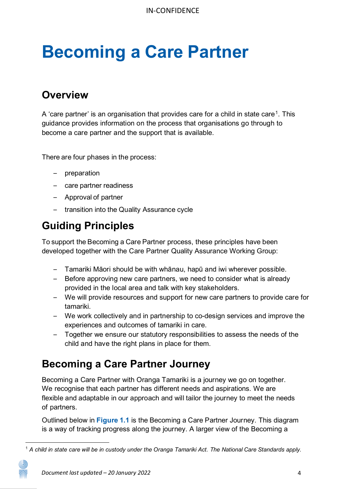# <span id="page-3-0"></span>**Becoming a Care Partner**

### <span id="page-3-1"></span>**Overview**

A 'care partner' is an organisation that provides care for a child in state care<sup>[1](#page-3-4)</sup>. This guidance provides information on the process that organisations go through to become a care partner and the support that is available.

There are four phases in the process:

- preparation
- care partner readiness
- Approval of partner
- transition into the Quality Assurance cycle

## <span id="page-3-2"></span>**Guiding Principles**

To support the Becoming a Care Partner process, these principles have been developed together with the Care Partner Quality Assurance Working Group:

- Tamariki Māori should be with whānau, hapū and iwi wherever possible.
- Before approving new care partners, we need to consider what is already provided in the local area and talk with key stakeholders.
- We will provide resources and support for new care partners to provide care for tamariki.
- We work collectively and in partnership to co-design services and improve the experiences and outcomes of tamariki in care.
- Together we ensure our statutory responsibilities to assess the needs of the child and have the right plans in place for them.

## <span id="page-3-3"></span>**Becoming a Care Partner Journey**

Becoming a Care Partner with Oranga Tamariki is a journey we go on together. We recognise that each partner has different needs and aspirations. We are flexible and adaptable in our approach and will tailor the journey to meet the needs of partners.

Outlined below in **Figure 1.1** is the Becoming a Care Partner Journey. This diagram is a way of tracking progress along the journey. A larger view of the Becoming a

<span id="page-3-4"></span><sup>1</sup> *A child in state care will be in custody under the Oranga Tamariki Act. The National Care Standards apply.*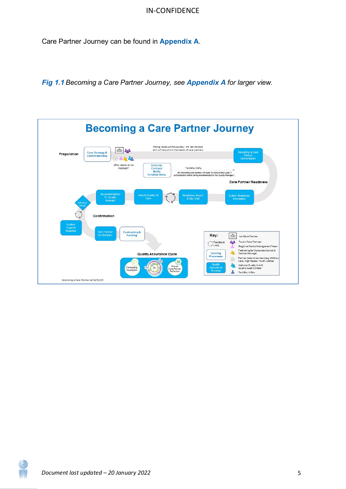Care Partner Journey can be found in **[Appendix A](#page-14-0)**.

*Fig 1.1 Becoming a Care Partner Journey, see [Appendix](#page-0-0) A for larger view.*



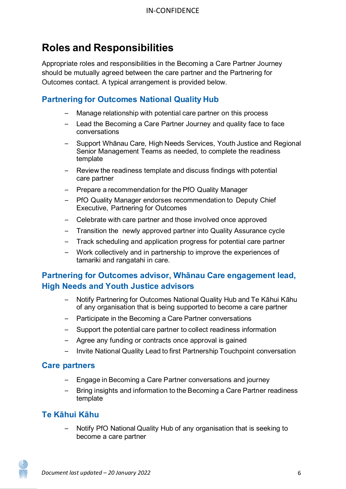## <span id="page-5-0"></span>**Roles and Responsibilities**

Appropriate roles and responsibilities in the Becoming a Care Partner Journey should be mutually agreed between the care partner and the Partnering for Outcomes contact. A typical arrangement is provided below.

### **Partnering for Outcomes National Quality Hub**

- Manage relationship with potential care partner on this process
- Lead the Becoming a Care Partner Journey and quality face to face conversations
- Support Whānau Care, High Needs Services, Youth Justice and Regional Senior Management Teams as needed, to complete the readiness template
- Review the readiness template and discuss findings with potential care partner
- Prepare a recommendation for the PfO Quality Manager
- PfO Quality Manager endorses recommendation to Deputy Chief Executive, Partnering for Outcomes
- Celebrate with care partner and those involved once approved
- Transition the newly approved partner into Quality Assurance cycle
- Track scheduling and application progress for potential care partner
- Work collectively and in partnership to improve the experiences of tamariki and rangatahi in care.

#### **Partnering for Outcomes advisor, Whānau Care engagement lead, High Needs and Youth Justice advisors**

- Notify Partnering for Outcomes National Quality Hub and Te Kāhui Kāhu of any organisation that is being supported to become a care partner
- Participate in the Becoming a Care Partner conversations
- Support the potential care partner to collect readiness information
- Agree any funding or contracts once approval is gained
- Invite National Quality Lead to first Partnership Touchpoint conversation

#### **Care partners**

- Engage in Becoming a Care Partner conversations and journey
- Bring insights and information to the Becoming a Care Partner readiness template

#### **Te Kāhui Kāhu**

6 alle – Notify PfO National Quality Hub of any organisation that is seeking to become a care partner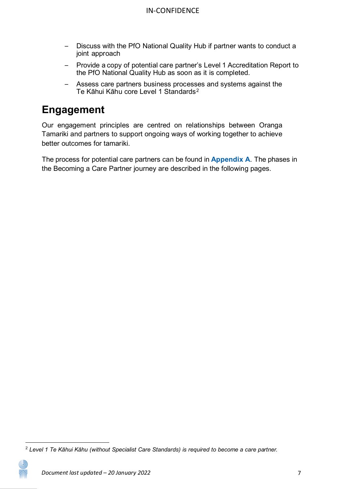- Discuss with the PfO National Quality Hub if partner wants to conduct a joint approach
- Provide a copy of potential care partner's Level 1 Accreditation Report to the PfO National Quality Hub as soon as it is completed.
- Assess care partners business processes and systems against the Te Kāhui Kāhu core Level 1 Standards<sup>[2](#page-6-1)</sup>

## <span id="page-6-0"></span>**Engagement**

Our engagement principles are centred on relationships between Oranga Tamariki and partners to support ongoing ways of working together to achieve better outcomes for tamariki.

The process for potential care partners can be found in **Appendix A**. The phases in the Becoming a Care Partner journey are described in the following pages.

<span id="page-6-1"></span><sup>2</sup> *Level 1 Te Kāhui Kāhu (without Specialist Care Standards) is required to become a care partner.*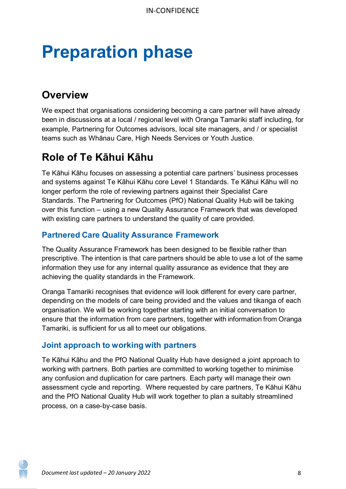# <span id="page-7-0"></span>**Preparation phase**

## <span id="page-7-1"></span>**Overview**

We expect that organisations considering becoming a care partner will have already been in discussions at a local / regional level with Oranga Tamariki staff including, for example, Partnering for Outcomes advisors, local site managers, and / or specialist teams such as Whānau Care, High Needs Services or Youth Justice.

## <span id="page-7-2"></span>**Role of Te Kāhui Kāhu**

Te Kāhui Kāhu focuses on assessing a potential care partners' business processes and systems against Te Kāhui Kāhu core Level 1 Standards. Te Kāhui Kāhu will no longer perform the role of reviewing partners against their Specialist Care Standards. The Partnering for Outcomes (PfO) National Quality Hub will be taking over this function – using a new Quality Assurance Framework that was developed with existing care partners to understand the quality of care provided.

#### **Partnered Care Quality Assurance Framework**

The Quality Assurance Framework has been designed to be flexible rather than prescriptive. The intention is that care partners should be able to use a lot of the same information they use for any internal quality assurance as evidence that they are achieving the quality standards in the Framework.

Oranga Tamariki recognises that evidence will look different for every care partner, depending on the models of care being provided and the values and tikanga of each organisation. We will be working together starting with an initial conversation to ensure that the information from care partners, together with information from Oranga Tamariki, is sufficient for us all to meet our obligations.

#### **Joint approach to working with partners**

Te Kāhui Kāhu and the PfO National Quality Hub have designed a joint approach to working with partners. Both parties are committed to working together to minimise any confusion and duplication for care partners. Each party will manage their own assessment cycle and reporting. Where requested by care partners, Te Kāhui Kāhu and the PfO National Quality Hub will work together to plan a suitably streamlined process, on a case-by-case basis.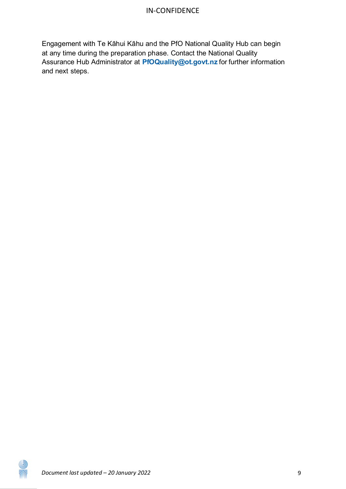Engagement with Te Kāhui Kāhu and the PfO National Quality Hub can begin at any time during the preparation phase. Contact the National Quality Assurance Hub Administrator at **[PfOQuality@ot.govt.nz](mailto:PfOQuality@ot.govt.nz)** for further information and next steps.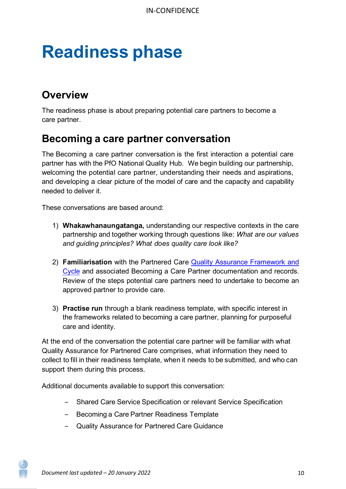# <span id="page-9-0"></span>**Readiness phase**

## <span id="page-9-1"></span>**Overview**

The readiness phase is about preparing potential care partners to become a care partner.

### <span id="page-9-2"></span>**Becoming a care partner conversation**

The Becoming a care partner conversation is the first interaction a potential care partner has with the PfO National Quality Hub. We begin building our partnership, welcoming the potential care partner, understanding their needs and aspirations, and developing a clear picture of the model of care and the capacity and capability needed to deliver it.

These conversations are based around:

- 1) **Whakawhanaungatanga,** understanding our respective contexts in the care partnership and together working through questions like: *What are our values and guiding principles? What does quality care look like?*
- 2) **Familiarisation** with the Partnered Care [Quality Assurance Framework and](https://www.orangatamariki.govt.nz/working-with-children/information-for-providers/partnered-care/quality-assurance/) [Cycle](https://www.orangatamariki.govt.nz/working-with-children/information-for-providers/partnered-care/quality-assurance/) and associated Becoming a Care Partner documentation and records. Review of the steps potential care partners need to undertake to become an approved partner to provide care.
- 3) **Practise run** through a blank readiness template, with specific interest in the frameworks related to becoming a care partner, planning for purposeful care and identity.

At the end of the conversation the potential care partner will be familiar with what Quality Assurance for Partnered Care comprises, what information they need to collect to fill in their readiness template, when it needs to be submitted, and who can support them during this process.

Additional documents available to support this conversation:

- Shared Care Service Specification or relevant Service Specification
- Becoming a Care Partner Readiness Template
- Quality Assurance for Partnered Care Guidance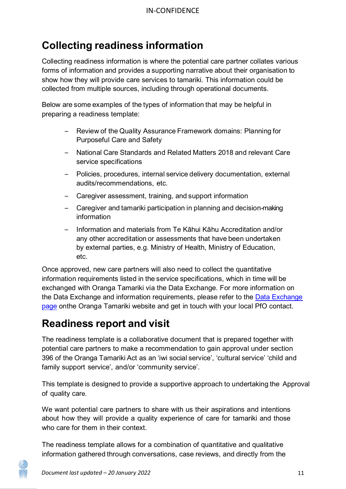## **Collecting readiness information**

Collecting readiness information is where the potential care partner collates various forms of information and provides a supporting narrative about their organisation to show how they will provide care services to tamariki. This information could be collected from multiple sources, including through operational documents.

Below are some examples of the types of information that may be helpful in preparing a readiness template:

- Review of the Quality Assurance Framework domains: Planning for Purposeful Care and Safety
- National Care Standards and Related Matters 2018 and relevant Care service specifications
- Policies, procedures, internal service delivery documentation, external audits/recommendations, etc.
- Caregiver assessment, training, and support information
- Caregiver and tamariki participation in planning and decision-making information
- Information and materials from Te Kāhui Kāhu Accreditation and/or any other accreditation or assessments that have been undertaken by external parties, e.g. Ministry of Health, Ministry of Education, etc.

Once approved, new care partners will also need to collect the quantitative information requirements listed in the service specifications, which in time will be exchanged with Oranga Tamariki via the Data Exchange. For more information on the Data Exchange and information requirements, please refer to the Data [Exchange](https://www.orangatamariki.govt.nz/working-with-children/information-for-providers/partnered-care/data-exchange/) [page](https://www.orangatamariki.govt.nz/working-with-children/information-for-providers/partnered-care/data-exchange/) onthe Oranga Tamariki website and get in touch with your local PfO contact.

## <span id="page-10-0"></span>**Readiness report and visit**

The readiness template is a collaborative document that is prepared together with potential care partners to make a recommendation to gain approval under section 396 of the Oranga Tamariki Act as an 'iwi social service', 'cultural service' 'child and family support service', and/or 'community service'.

This template is designed to provide a supportive approach to undertaking the Approval of quality care.

We want potential care partners to share with us their aspirations and intentions about how they will provide a quality experience of care for tamariki and those who care for them in their context.

The readiness template allows for a combination of quantitative and qualitative information gathered through conversations, case reviews, and directly from the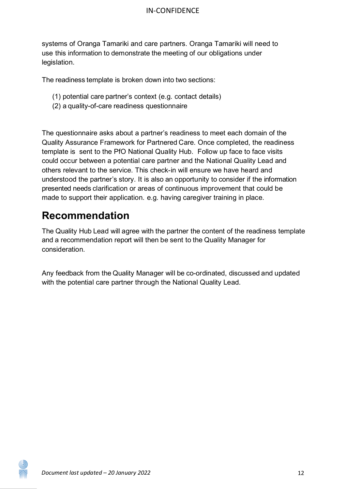systems of Oranga Tamariki and care partners. Oranga Tamariki will need to use this information to demonstrate the meeting of our obligations under legislation.

The readiness template is broken down into two sections:

- (1) potential care partner's context (e.g. contact details)
- (2) a quality-of-care readiness questionnaire

The questionnaire asks about a partner's readiness to meet each domain of the Quality Assurance Framework for Partnered Care. Once completed, the readiness template is sent to the PfO National Quality Hub. Follow up face to face visits could occur between a potential care partner and the National Quality Lead and others relevant to the service. This check-in will ensure we have heard and understood the partner's story. It is also an opportunity to consider if the information presented needs clarification or areas of continuous improvement that could be made to support their application. e.g. having caregiver training in place.

### <span id="page-11-0"></span>**Recommendation**

The Quality Hub Lead will agree with the partner the content of the readiness template and a recommendation report will then be sent to the Quality Manager for consideration.

Any feedback from the Quality Manager will be co-ordinated, discussed and updated with the potential care partner through the National Quality Lead.

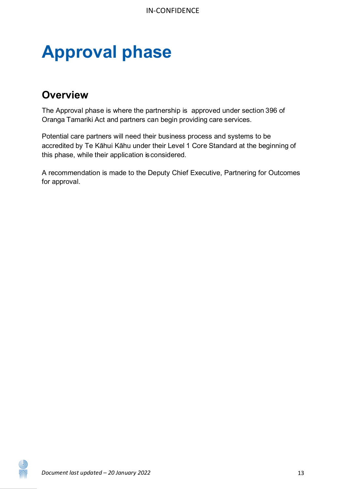# <span id="page-12-0"></span>**Approval phase**

### <span id="page-12-1"></span>**Overview**

The Approval phase is where the partnership is approved under section 396 of Oranga Tamariki Act and partners can begin providing care services.

Potential care partners will need their business process and systems to be accredited by Te Kāhui Kāhu under their Level 1 Core Standard at the beginning of this phase, while their application is considered.

A recommendation is made to the Deputy Chief Executive, Partnering for Outcomes for approval.

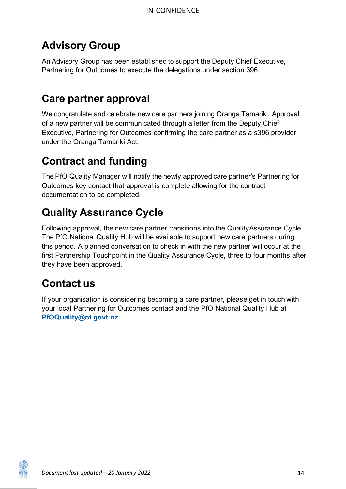## <span id="page-13-0"></span>**Advisory Group**

An Advisory Group has been established to support the Deputy Chief Executive, Partnering for Outcomes to execute the delegations under section 396.

## <span id="page-13-1"></span>**Care partner approval**

We congratulate and celebrate new care partners joining Oranga Tamariki. Approval of a new partner will be communicated through a letter from the Deputy Chief Executive, Partnering for Outcomes confirming the care partner as a s396 provider under the Oranga Tamariki Act.

## <span id="page-13-2"></span>**Contract and funding**

The PfO Quality Manager will notify the newly approved care partner's Partnering for Outcomes key contact that approval is complete allowing for the contract documentation to be completed.

## <span id="page-13-3"></span>**Quality Assurance Cycle**

Following approval, the new care partner transitions into the QualityAssurance Cycle. The PfO National Quality Hub will be available to support new care partners during this period. A planned conversation to check in with the new partner will occur at the first Partnership Touchpoint in the Quality Assurance Cycle, three to four months after they have been approved.

## <span id="page-13-4"></span>**Contact us**

If your organisation is considering becoming a care partner, please get in touch with your local Partnering for Outcomes contact and the PfO National Quality Hub at **[PfOQuality@ot.govt.nz.](mailto:PfOQuality@ot.govt.nz)**